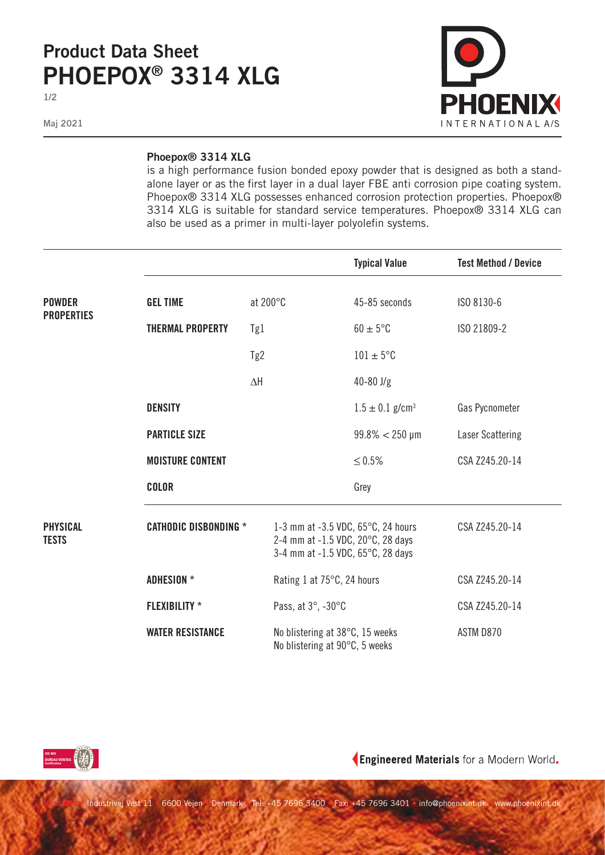## **Product Data Sheet PHOEPOX® 3314 XLG**

**1/2**

**Maj 2021**



## **Phoepox® 3314 XLG**

is a high performance fusion bonded epoxy powder that is designed as both a standalone layer or as the first layer in a dual layer FBE anti corrosion pipe coating system. Phoepox® 3314 XLG possesses enhanced corrosion protection properties. Phoepox® 3314 XLG is suitable for standard service temperatures. Phoepox® 3314 XLG can also be used as a primer in multi-layer polyolefin systems.

|                                    |                              |                                                                                                                        |                                                                   | <b>Typical Value</b>            | <b>Test Method / Device</b> |
|------------------------------------|------------------------------|------------------------------------------------------------------------------------------------------------------------|-------------------------------------------------------------------|---------------------------------|-----------------------------|
| <b>POWDER</b><br><b>PROPERTIES</b> | <b>GEL TIME</b>              | at 200°C                                                                                                               |                                                                   | 45-85 seconds                   | ISO 8130-6                  |
|                                    | <b>THERMAL PROPERTY</b>      | Tg1                                                                                                                    |                                                                   | $60 \pm 5^{\circ}$ C            | ISO 21809-2                 |
|                                    |                              | Tg2                                                                                                                    |                                                                   | $101 \pm 5$ °C                  |                             |
|                                    |                              | $\Delta H$                                                                                                             |                                                                   | $40 - 80$ J/g                   |                             |
|                                    | <b>DENSITY</b>               |                                                                                                                        |                                                                   | $1.5 \pm 0.1$ g/cm <sup>3</sup> | Gas Pycnometer              |
|                                    | <b>PARTICLE SIZE</b>         |                                                                                                                        |                                                                   | $99.8\% < 250 \,\mu m$          | Laser Scattering            |
|                                    | <b>MOISTURE CONTENT</b>      |                                                                                                                        |                                                                   | $≤ 0.5%$                        | CSA Z245.20-14              |
|                                    | <b>COLOR</b>                 |                                                                                                                        |                                                                   | Grey                            |                             |
| <b>PHYSICAL</b><br><b>TESTS</b>    | <b>CATHODIC DISBONDING *</b> | 1-3 mm at -3.5 VDC, $65^{\circ}$ C, 24 hours<br>2-4 mm at -1.5 VDC, 20°C, 28 days<br>3-4 mm at -1.5 VDC, 65°C, 28 days |                                                                   |                                 | CSA Z245.20-14              |
|                                    | <b>ADHESION *</b>            |                                                                                                                        | Rating 1 at 75°C, 24 hours                                        |                                 | CSA Z245.20-14              |
|                                    | <b>FLEXIBILITY</b> *         | Pass, at 3°, -30°C                                                                                                     |                                                                   |                                 | CSA Z245.20-14              |
|                                    | <b>WATER RESISTANCE</b>      |                                                                                                                        | No blistering at 38°C, 15 weeks<br>No blistering at 90°C, 5 weeks |                                 | ASTM D870                   |



Engineered Materials for a Modern World.